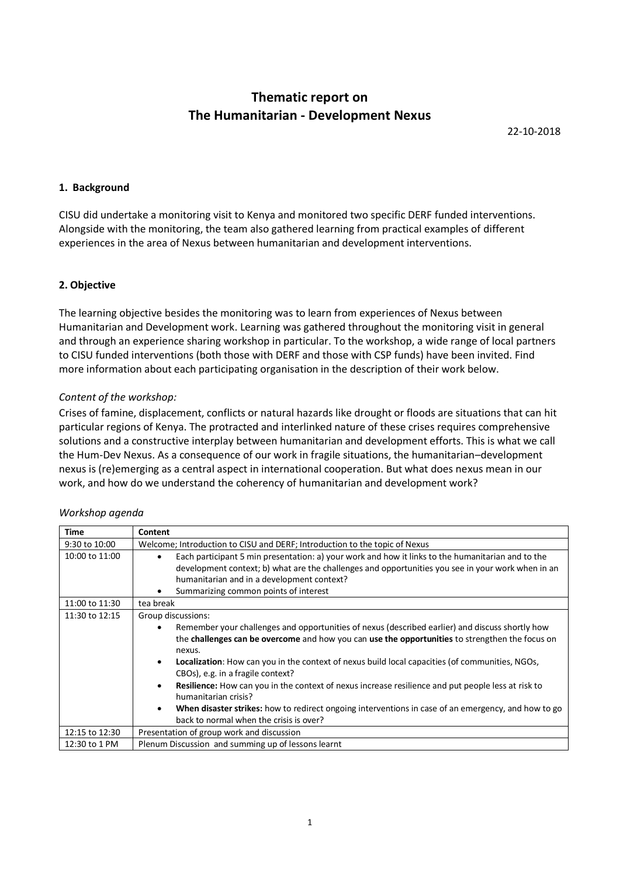# **Thematic report on The Humanitarian - Development Nexus**

22-10-2018

## **1. Background**

CISU did undertake a monitoring visit to Kenya and monitored two specific DERF funded interventions. Alongside with the monitoring, the team also gathered learning from practical examples of different experiences in the area of Nexus between humanitarian and development interventions.

## **2. Objective**

The learning objective besides the monitoring was to learn from experiences of Nexus between Humanitarian and Development work. Learning was gathered throughout the monitoring visit in general and through an experience sharing workshop in particular. To the workshop, a wide range of local partners to CISU funded interventions (both those with DERF and those with CSP funds) have been invited. Find more information about each participating organisation in the description of their work below.

## *Content of the workshop:*

Crises of famine, displacement, conflicts or natural hazards like drought or floods are situations that can hit particular regions of Kenya. The protracted and interlinked nature of these crises requires comprehensive solutions and a constructive interplay between humanitarian and development efforts. This is what we call the Hum-Dev Nexus. As a consequence of our work in fragile situations, the humanitarian–development nexus is (re)emerging as a central aspect in international cooperation. But what does nexus mean in our work, and how do we understand the coherency of humanitarian and development work?

| Time           | Content                                                                                                                                                                                                                                                                                                                                                                                                                                                                                                                                                                                                                                                                                           |  |  |
|----------------|---------------------------------------------------------------------------------------------------------------------------------------------------------------------------------------------------------------------------------------------------------------------------------------------------------------------------------------------------------------------------------------------------------------------------------------------------------------------------------------------------------------------------------------------------------------------------------------------------------------------------------------------------------------------------------------------------|--|--|
| 9:30 to 10:00  | Welcome; Introduction to CISU and DERF; Introduction to the topic of Nexus                                                                                                                                                                                                                                                                                                                                                                                                                                                                                                                                                                                                                        |  |  |
| 10:00 to 11:00 | Each participant 5 min presentation: a) your work and how it links to the humanitarian and to the<br>$\bullet$<br>development context; b) what are the challenges and opportunities you see in your work when in an<br>humanitarian and in a development context?<br>Summarizing common points of interest                                                                                                                                                                                                                                                                                                                                                                                        |  |  |
| 11:00 to 11:30 | tea break                                                                                                                                                                                                                                                                                                                                                                                                                                                                                                                                                                                                                                                                                         |  |  |
| 11:30 to 12:15 | Group discussions:<br>Remember your challenges and opportunities of nexus (described earlier) and discuss shortly how<br>the challenges can be overcome and how you can use the opportunities to strengthen the focus on<br>nexus.<br>Localization: How can you in the context of nexus build local capacities (of communities, NGOs,<br>$\bullet$<br>CBOs), e.g. in a fragile context?<br>Resilience: How can you in the context of nexus increase resilience and put people less at risk to<br>$\bullet$<br>humanitarian crisis?<br>When disaster strikes: how to redirect ongoing interventions in case of an emergency, and how to go<br>$\bullet$<br>back to normal when the crisis is over? |  |  |
| 12:15 to 12:30 | Presentation of group work and discussion                                                                                                                                                                                                                                                                                                                                                                                                                                                                                                                                                                                                                                                         |  |  |
| 12:30 to 1 PM  | Plenum Discussion and summing up of lessons learnt                                                                                                                                                                                                                                                                                                                                                                                                                                                                                                                                                                                                                                                |  |  |

## *Workshop agenda*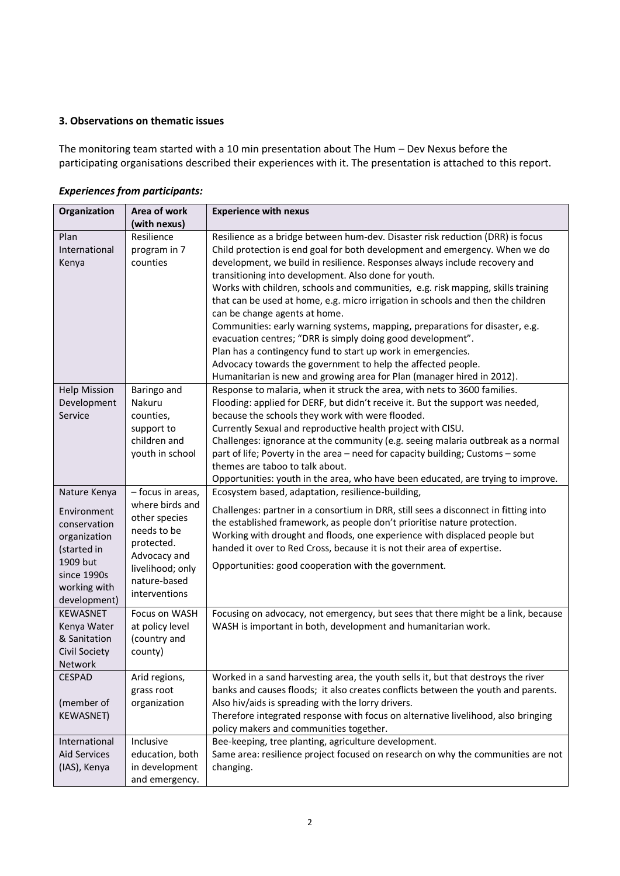# **3. Observations on thematic issues**

The monitoring team started with a 10 min presentation about The Hum – Dev Nexus before the participating organisations described their experiences with it. The presentation is attached to this report.

| Organization                                                                                                                          | Area of work                                                                                                                                            | <b>Experience with nexus</b>                                                                                                                                                                                                                                                                                                                                                                                                                                                                                                                                                                                                                                                                                                                                                                                                                                          |
|---------------------------------------------------------------------------------------------------------------------------------------|---------------------------------------------------------------------------------------------------------------------------------------------------------|-----------------------------------------------------------------------------------------------------------------------------------------------------------------------------------------------------------------------------------------------------------------------------------------------------------------------------------------------------------------------------------------------------------------------------------------------------------------------------------------------------------------------------------------------------------------------------------------------------------------------------------------------------------------------------------------------------------------------------------------------------------------------------------------------------------------------------------------------------------------------|
|                                                                                                                                       | (with nexus)                                                                                                                                            |                                                                                                                                                                                                                                                                                                                                                                                                                                                                                                                                                                                                                                                                                                                                                                                                                                                                       |
| Plan<br>International<br>Kenya                                                                                                        | Resilience<br>program in 7<br>counties                                                                                                                  | Resilience as a bridge between hum-dev. Disaster risk reduction (DRR) is focus<br>Child protection is end goal for both development and emergency. When we do<br>development, we build in resilience. Responses always include recovery and<br>transitioning into development. Also done for youth.<br>Works with children, schools and communities, e.g. risk mapping, skills training<br>that can be used at home, e.g. micro irrigation in schools and then the children<br>can be change agents at home.<br>Communities: early warning systems, mapping, preparations for disaster, e.g.<br>evacuation centres; "DRR is simply doing good development".<br>Plan has a contingency fund to start up work in emergencies.<br>Advocacy towards the government to help the affected people.<br>Humanitarian is new and growing area for Plan (manager hired in 2012). |
| <b>Help Mission</b><br>Development<br>Service                                                                                         | Baringo and<br>Nakuru<br>counties,<br>support to<br>children and<br>youth in school                                                                     | Response to malaria, when it struck the area, with nets to 3600 families.<br>Flooding: applied for DERF, but didn't receive it. But the support was needed,<br>because the schools they work with were flooded.<br>Currently Sexual and reproductive health project with CISU.<br>Challenges: ignorance at the community (e.g. seeing malaria outbreak as a normal<br>part of life; Poverty in the area - need for capacity building; Customs - some<br>themes are taboo to talk about.<br>Opportunities: youth in the area, who have been educated, are trying to improve.                                                                                                                                                                                                                                                                                           |
| Nature Kenya<br>Environment<br>conservation<br>organization<br>(started in<br>1909 but<br>since 1990s<br>working with<br>development) | - focus in areas,<br>where birds and<br>other species<br>needs to be<br>protected.<br>Advocacy and<br>livelihood; only<br>nature-based<br>interventions | Ecosystem based, adaptation, resilience-building,<br>Challenges: partner in a consortium in DRR, still sees a disconnect in fitting into<br>the established framework, as people don't prioritise nature protection.<br>Working with drought and floods, one experience with displaced people but<br>handed it over to Red Cross, because it is not their area of expertise.<br>Opportunities: good cooperation with the government.                                                                                                                                                                                                                                                                                                                                                                                                                                  |
| <b>KEWASNET</b><br>Kenya Water<br>& Sanitation<br>Civil Society<br>Network                                                            | Focus on WASH<br>at policy level<br>(country and<br>county)                                                                                             | Focusing on advocacy, not emergency, but sees that there might be a link, because<br>WASH is important in both, development and humanitarian work.                                                                                                                                                                                                                                                                                                                                                                                                                                                                                                                                                                                                                                                                                                                    |
| <b>CESPAD</b><br>(member of<br><b>KEWASNET)</b>                                                                                       | Arid regions,<br>grass root<br>organization                                                                                                             | Worked in a sand harvesting area, the youth sells it, but that destroys the river<br>banks and causes floods; it also creates conflicts between the youth and parents.<br>Also hiv/aids is spreading with the lorry drivers.<br>Therefore integrated response with focus on alternative livelihood, also bringing<br>policy makers and communities together.                                                                                                                                                                                                                                                                                                                                                                                                                                                                                                          |
| International<br><b>Aid Services</b><br>(IAS), Kenya                                                                                  | Inclusive<br>education, both<br>in development<br>and emergency.                                                                                        | Bee-keeping, tree planting, agriculture development.<br>Same area: resilience project focused on research on why the communities are not<br>changing.                                                                                                                                                                                                                                                                                                                                                                                                                                                                                                                                                                                                                                                                                                                 |

# *Experiences from participants:*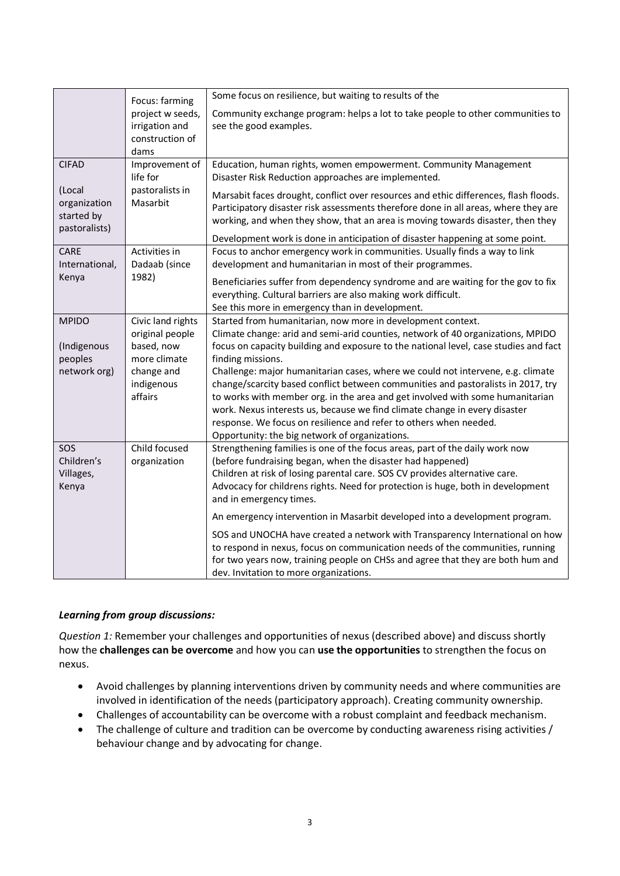|                | Focus: farming    | Some focus on resilience, but waiting to results of the                                                    |
|----------------|-------------------|------------------------------------------------------------------------------------------------------------|
|                | project w seeds,  | Community exchange program: helps a lot to take people to other communities to                             |
|                | irrigation and    | see the good examples.                                                                                     |
|                | construction of   |                                                                                                            |
|                | dams              |                                                                                                            |
| <b>CIFAD</b>   | Improvement of    | Education, human rights, women empowerment. Community Management                                           |
|                | life for          | Disaster Risk Reduction approaches are implemented.                                                        |
| (Local         | pastoralists in   | Marsabit faces drought, conflict over resources and ethic differences, flash floods.                       |
| organization   | Masarbit          | Participatory disaster risk assessments therefore done in all areas, where they are                        |
| started by     |                   | working, and when they show, that an area is moving towards disaster, then they                            |
| pastoralists)  |                   | Development work is done in anticipation of disaster happening at some point.                              |
| CARE           | Activities in     | Focus to anchor emergency work in communities. Usually finds a way to link                                 |
| International, | Dadaab (since     | development and humanitarian in most of their programmes.                                                  |
| Kenya          | 1982)             | Beneficiaries suffer from dependency syndrome and are waiting for the gov to fix                           |
|                |                   | everything. Cultural barriers are also making work difficult.                                              |
|                |                   | See this more in emergency than in development.                                                            |
| <b>MPIDO</b>   | Civic land rights | Started from humanitarian, now more in development context.                                                |
|                | original people   | Climate change: arid and semi-arid counties, network of 40 organizations, MPIDO                            |
| (Indigenous    | based, now        | focus on capacity building and exposure to the national level, case studies and fact                       |
| peoples        | more climate      | finding missions.                                                                                          |
| network org)   | change and        | Challenge: major humanitarian cases, where we could not intervene, e.g. climate                            |
|                | indigenous        | change/scarcity based conflict between communities and pastoralists in 2017, try                           |
|                | affairs           | to works with member org. in the area and get involved with some humanitarian                              |
|                |                   | work. Nexus interests us, because we find climate change in every disaster                                 |
|                |                   | response. We focus on resilience and refer to others when needed.                                          |
|                |                   | Opportunity: the big network of organizations.                                                             |
| SOS            | Child focused     | Strengthening families is one of the focus areas, part of the daily work now                               |
| Children's     | organization      | (before fundraising began, when the disaster had happened)                                                 |
| Villages,      |                   | Children at risk of losing parental care. SOS CV provides alternative care.                                |
| Kenya          |                   | Advocacy for childrens rights. Need for protection is huge, both in development<br>and in emergency times. |
|                |                   | An emergency intervention in Masarbit developed into a development program.                                |
|                |                   | SOS and UNOCHA have created a network with Transparency International on how                               |
|                |                   | to respond in nexus, focus on communication needs of the communities, running                              |
|                |                   | for two years now, training people on CHSs and agree that they are both hum and                            |
|                |                   | dev. Invitation to more organizations.                                                                     |

# *Learning from group discussions:*

*Question 1:* Remember your challenges and opportunities of nexus (described above) and discuss shortly how the **challenges can be overcome** and how you can **use the opportunities** to strengthen the focus on nexus.

- Avoid challenges by planning interventions driven by community needs and where communities are involved in identification of the needs (participatory approach). Creating community ownership.
- Challenges of accountability can be overcome with a robust complaint and feedback mechanism.
- The challenge of culture and tradition can be overcome by conducting awareness rising activities / behaviour change and by advocating for change.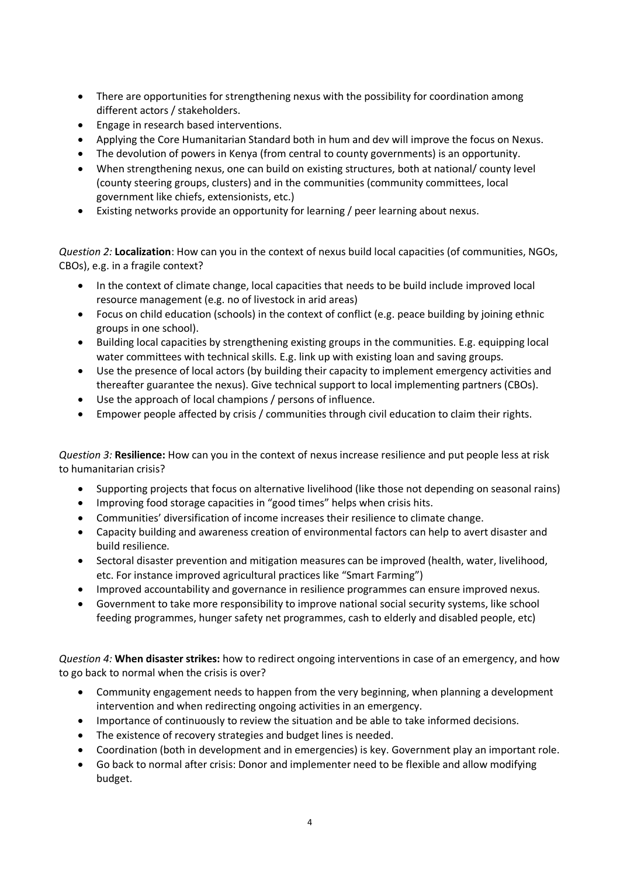- There are opportunities for strengthening nexus with the possibility for coordination among different actors / stakeholders.
- Engage in research based interventions.
- Applying the Core Humanitarian Standard both in hum and dev will improve the focus on Nexus.
- The devolution of powers in Kenya (from central to county governments) is an opportunity.
- When strengthening nexus, one can build on existing structures, both at national/ county level (county steering groups, clusters) and in the communities (community committees, local government like chiefs, extensionists, etc.)
- Existing networks provide an opportunity for learning / peer learning about nexus.

*Question 2:* **Localization**: How can you in the context of nexus build local capacities (of communities, NGOs, CBOs), e.g. in a fragile context?

- In the context of climate change, local capacities that needs to be build include improved local resource management (e.g. no of livestock in arid areas)
- Focus on child education (schools) in the context of conflict (e.g. peace building by joining ethnic groups in one school).
- Building local capacities by strengthening existing groups in the communities. E.g. equipping local water committees with technical skills. E.g. link up with existing loan and saving groups.
- Use the presence of local actors (by building their capacity to implement emergency activities and thereafter guarantee the nexus). Give technical support to local implementing partners (CBOs).
- Use the approach of local champions / persons of influence.
- Empower people affected by crisis / communities through civil education to claim their rights.

*Question 3:* **Resilience:** How can you in the context of nexus increase resilience and put people less at risk to humanitarian crisis?

- Supporting projects that focus on alternative livelihood (like those not depending on seasonal rains)
- Improving food storage capacities in "good times" helps when crisis hits.
- Communities' diversification of income increases their resilience to climate change.
- Capacity building and awareness creation of environmental factors can help to avert disaster and build resilience.
- Sectoral disaster prevention and mitigation measures can be improved (health, water, livelihood, etc. For instance improved agricultural practices like "Smart Farming")
- Improved accountability and governance in resilience programmes can ensure improved nexus.
- Government to take more responsibility to improve national social security systems, like school feeding programmes, hunger safety net programmes, cash to elderly and disabled people, etc)

*Question 4:* **When disaster strikes:** how to redirect ongoing interventions in case of an emergency, and how to go back to normal when the crisis is over?

- Community engagement needs to happen from the very beginning, when planning a development intervention and when redirecting ongoing activities in an emergency.
- Importance of continuously to review the situation and be able to take informed decisions.
- The existence of recovery strategies and budget lines is needed.
- Coordination (both in development and in emergencies) is key. Government play an important role.
- Go back to normal after crisis: Donor and implementer need to be flexible and allow modifying budget.